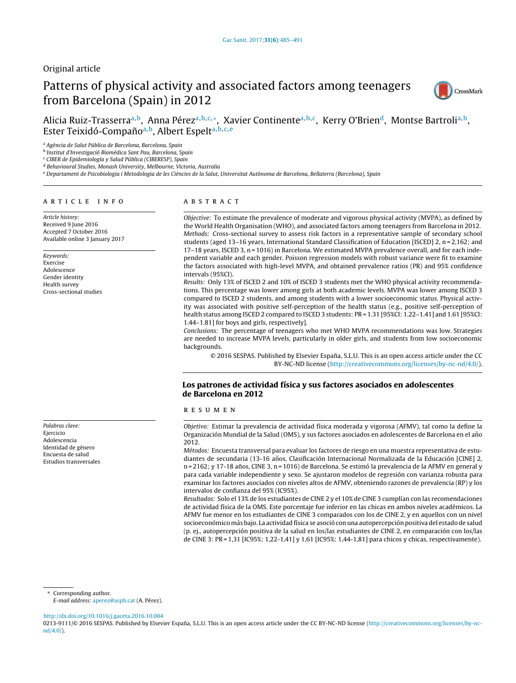# Original article

# Patterns of physical activity and associated factors among teenagers from Barcelona (Spain) in 2012



Alicia Ruiz-Trasserra<sup>a,b</sup>, Anna Pérez<sup>a,b,c,</sup>\*, Xavier Continente<sup>a,b,c</sup>, Kerry O'Brien<sup>d</sup>, Montse Bartroli<sup>a,b</sup>, Ester Teixidó-Compaño<sup>a,b</sup>, Albert Espelt<sup>a,b,c,e</sup>

<sup>a</sup> Agència de Salut Pública de Barcelona, Barcelona, Spain

<sup>b</sup> Institut d'Investigació Biomèdica Sant Pau, Barcelona, Spain

<sup>c</sup> CIBER de Epidemiología y Salud Pública (CIBERESP), Spain

<sup>d</sup> Behavioural Studies, Monash University, Melbourne, Victoria, Australia

e Departament de Psicobiologia i Metodologia de les Ciències de la Salut, Universitat Autònoma de Barcelona, Bellaterra (Barcelona), Spain

### a r t i c l e i n f o

Article history: Received 9 June 2016 Accepted 7 October 2016 Available online 3 January 2017

# Keywords:

Exercise Adolescence Gender identity Health survey Cross-sectional studies

Palabras clave: Ejercicio Adolescencia Identidad de género Encuesta de salud Estudios transversales

# A B S T R A C T

Objective: To estimate the prevalence of moderate and vigorous physical activity (MVPA), as defined by the World Health Organisation (WHO), and associated factors among teenagers from Barcelona in 2012. Methods: Cross-sectional survey to assess risk factors in a representative sample of secondary school students (aged 13–16 years, International Standard Classification of Education [ISCED] 2, n = 2,162; and 17–18 years, ISCED 3, n = 1016) in Barcelona. We estimated MVPA prevalence overall, and for each independent variable and each gender. Poisson regression models with robust variance were fit to examine the factors associated with high-level MVPA, and obtained prevalence ratios (PR) and 95% confidence intervals (95%CI).

Results: Only 13% of ISCED 2 and 10% of ISCED 3 students met the WHO physical activity recommendations. This percentage was lower among girls at both academic levels. MVPA was lower among ISCED 3 compared to ISCED 2 students, and among students with a lower socioeconomic status. Physical activity was associated with positive self-perception of the health status (e.g., positive self-perception of health status among ISCED 2 compared to ISCED 3 students: PR = 1.31 [95%CI: 1.22-1.41] and 1.61 [95%CI: 1.44–1.81] for boys and girls, respectively].

Conclusions: The percentage of teenagers who met WHO MVPA recommendations was low. Strategies are needed to increase MVPA levels, particularly in older girls, and students from low socioeconomic backgrounds.

© 2016 SESPAS. Published by Elsevier España, S.L.U. This is an open access article under the CC BY-NC-ND license [\(http://creativecommons.org/licenses/by-nc-nd/4.0/](http://creativecommons.org/licenses/by-nc-nd/4.0/)).

# Los patrones de actividad física y sus factores asociados en adolescentes de Barcelona en 2012

r e s u m e n

Objetivo: Estimar la prevalencia de actividad física moderada y vigorosa (AFMV), tal como la define la Organización Mundial de la Salud (OMS), y sus factores asociados en adolescentes de Barcelona en el año 2012.

Métodos: Encuesta transversal para evaluar los factores de riesgo en una muestra representativa de estudiantes de secundaria (13-16 años, Clasificación Internacional Normalizada de la Educación [CINE] 2, n = 2162; y 17-18 años, CINE 3, n = 1016) de Barcelona. Se estimó la prevalencia de la AFMV en general y para cada variable independiente y sexo. Se ajustaron modelos de regresión con varianza robusta para examinar los factores asociados con niveles altos de AFMV, obteniendo razones de prevalencia (RP) y los intervalos de confianza del 95% (IC95%).

Resultados: Solo el 13% de los estudiantes de CINE 2 y el 10% de CINE 3 cumplían con las recomendaciones de actividad física de la OMS. Este porcentaje fue inferior en las chicas en ambos niveles académicos. La AFMV fue menor en los estudiantes de CINE 3 comparados con los de CINE 2, y en aquellos con un nivel socioeconómico más bajo. La actividad física se asoció con una autopercepción positiva del estado de salud (p. ej., autopercepción positiva de la salud en los/las estudiantes de CINE 2, en comparación con los/las de CINE 3: PR = 1,31 [IC95%: 1,22-1,41] y 1,61 [IC95%: 1,44-1,81] para chicos y chicas, respectivamente).

Corresponding author.

E-mail address: [aperez@aspb.cat](mailto:aperez@aspb.cat) (A. Pérez).

[http://dx.doi.org/10.1016/j.gaceta.2016.10.004](dx.doi.org/10.1016/j.gaceta.2016.10.004)

0213-9111/© 2016 SESPAS. Published by Elsevier España, S.L.U. This is an open access article under the CC BY-NC-ND license [\(http://creativecommons.org/licenses/by-nc](http://creativecommons.org/licenses/by-nc-nd/4.0/)[nd/4.0/\)](http://creativecommons.org/licenses/by-nc-nd/4.0/).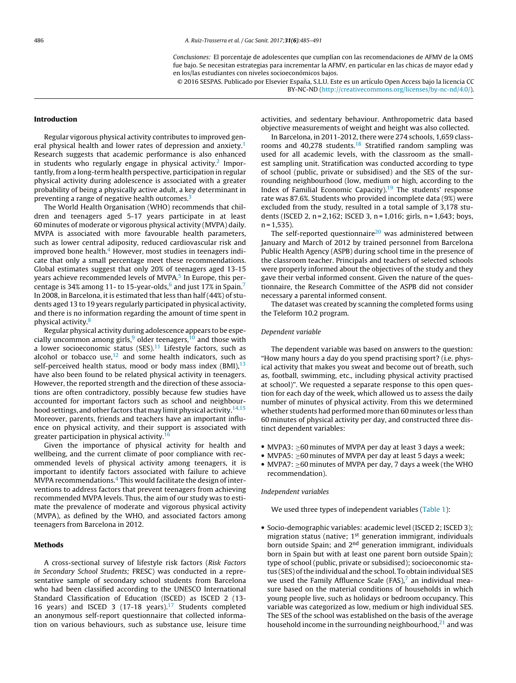Conclusiones: El porcentaje de adolescentes que cumplían con las recomendaciones de AFMV de la OMS fue bajo. Se necesitan estrategias para incrementar la AFMV, en particular en las chicas de mayor edad y en los/las estudiantes con niveles socioeconómicos bajos.

© 2016 SESPAS. Publicado por Elsevier España, S.L.U. Este es un artículo Open Access bajo la licencia CC BY-NC-ND [\(http://creativecommons.org/licenses/by-nc-nd/4.0/\)](http://creativecommons.org/licenses/by-nc-nd/4.0/).

### Introduction

Regular vigorous physical activity contributes to improved gen-eral physical health and lower rates of depression and anxiety.<sup>[1](#page-5-0)</sup> Research suggests that academic performance is also enhanced in students who regularly engage in physical activity. $^2$  $^2$  Importantly, from a long-term health perspective, participation in regular physical activity during adolescence is associated with a greater probability of being a physically active adult, a key determinant in preventing a range of negative health outcomes.<sup>[3](#page-5-0)</sup>

The World Health Organisation (WHO) recommends that children and teenagers aged 5-17 years participate in at least 60 minutes of moderate or vigorous physical activity (MVPA) daily. MVPA is associated with more favourable health parameters, such as lower central adiposity, reduced cardiovascular risk and improved bone health. $4$  However, most studies in teenagers indicate that only a small percentage meet these recommendations. Global estimates suggest that only 20% of teenagers aged 13-15 years achieve recommended levels of MVPA.<sup>[5](#page-5-0)</sup> In Europe, this percent[a](#page-5-0)ge is 34% among 11- to 15-year-olds, $6$  and just 1[7](#page-5-0)% in Spain.<sup>7</sup> In 2008, in Barcelona, it is estimated that less than half (44%) of students aged 13 to 19 years regularly participated in physical activity, and there is no information regarding the amount of time spent in physical activity.[8](#page-5-0)

Regular physical activity during adolescence appears to be especially uncommon among girls,  $9$  older teenagers,  $10$  and those with a lower socioeconomic status  $(SES).<sup>11</sup>$  $(SES).<sup>11</sup>$  $(SES).<sup>11</sup>$  Lifestyle factors, such as alcohol or tobacco use, $12$  and some health indicators, such as self-perceived health status, mood or body mass index  $(BMI)$ ,  $^{13}$  $^{13}$  $^{13}$ have also been found to be related physical activity in teenagers. However, the reported strength and the direction of these associations are often contradictory, possibly because few studies have accounted for important factors such as school and neighbour-hood settings, and other factors that may limit physical activity.<sup>[14,15](#page-6-0)</sup> Moreover, parents, friends and teachers have an important influence on physical activity, and their support is associated with greater participation in physical activity.<sup>[16](#page-6-0)</sup>

Given the importance of physical activity for health and wellbeing, and the current climate of poor compliance with recommended levels of physical activity among teenagers, it is important to identify factors associated with failure to achieve MVPA recommendations. $4$  This would facilitate the design of interventions to address factors that prevent teenagers from achieving recommended MVPA levels. Thus, the aim of our study was to estimate the prevalence of moderate and vigorous physical activity (MVPA), as defined by the WHO, and associated factors among teenagers from Barcelona in 2012.

### Methods

A cross-sectional survey of lifestyle risk factors (Risk Factors in Secondary School Students; FRESC) was conducted in a representative sample of secondary school students from Barcelona who had been classified according to the UNESCO International Standard Classification of Education (ISCED) as ISCED 2 (13- 16 years) and ISCED 3 ([17](#page-6-0)-18 years).<sup>17</sup> Students completed an anonymous self-report questionnaire that collected information on various behaviours, such as substance use, leisure time activities, and sedentary behaviour. Anthropometric data based objective measurements of weight and height was also collected.

In Barcelona, in 2011-2012, there were 274 schools, 1,659 classrooms and  $40,278$  students.<sup>[18](#page-6-0)</sup> Stratified random sampling was used for all academic levels, with the classroom as the smallest sampling unit. Stratification was conducted according to type of school (public, private or subsidised) and the SES of the surrounding neighbourhood (low, medium or high, according to the Index of Familial Economic Capacity).<sup>[19](#page-6-0)</sup> The students' response rate was 87.6%. Students who provided incomplete data (9%) were excluded from the study, resulted in a total sample of 3,178 students (ISCED 2, n = 2,162; ISCED 3, n = 1,016; girls, n = 1,643; boys,  $n = 1,535$ ).

The self-reported questionnaire $20$  was administered between January and March of 2012 by trained personnel from Barcelona Public Health Agency (ASPB) during school time in the presence of the classroom teacher. Principals and teachers of selected schools were properly informed about the objectives of the study and they gave their verbal informed consent. Given the nature of the questionnaire, the Research Committee of the ASPB did not consider necessary a parental informed consent.

The dataset was created by scanning the completed forms using the Teleform 10.2 program.

#### Dependent variable

The dependent variable was based on answers to the question: "How many hours a day do you spend practising sport? (i.e. physical activity that makes you sweat and become out of breath, such as, football, swimming, etc., including physical activity practised at school)". We requested a separate response to this open question for each day of the week, which allowed us to assess the daily number of minutes of physical activity. From this we determined whether students had performed more than 60 minutes or less than 60 minutes of physical activity per day, and constructed three distinct dependent variables:

- MVPA3: >60 minutes of MVPA per day at least 3 days a week;
- MVPA5: >60 minutes of MVPA per day at least 5 days a week;
- MVPA7: >60 minutes of MVPA per day, 7 days a week (the WHO recommendation).

#### Independent variables

We used three types of independent variables [\(Table](#page-2-0) 1):

• Socio-demographic variables: academic level (ISCED 2; ISCED 3); migration status (native; 1<sup>st</sup> generation immigrant, individuals born outside Spain; and 2<sup>nd</sup> generation immigrant, individuals born in Spain but with at least one parent born outside Spain); type of school (public, private or subsidised); socioeconomic status (SES) of the individual and the school. To obtain individual SES we used the Family Affluence Scale (FAS), $<sup>7</sup>$  $<sup>7</sup>$  $<sup>7</sup>$  an individual mea-</sup> sure based on the material conditions of households in which young people live, such as holidays or bedroom occupancy. This variable was categorized as low, medium or high individual SES. The SES of the school was established on the basis of the average household income in the surrounding neighbourhood, $^{21}$  $^{21}$  $^{21}$  and was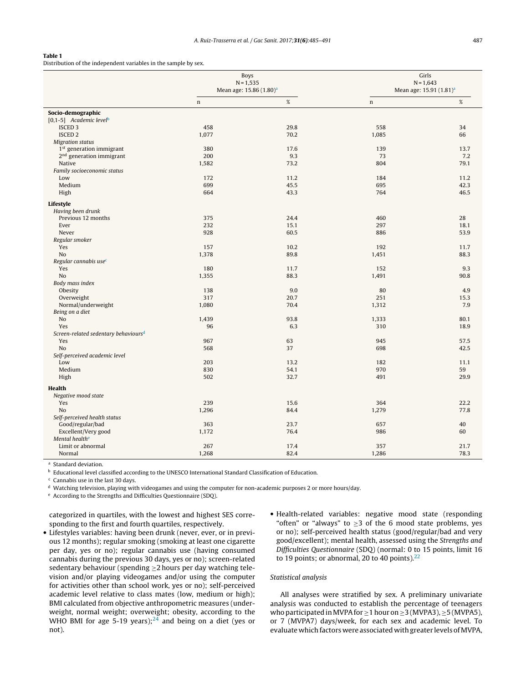#### <span id="page-2-0"></span>Table 1

Distribution of the independent variables in the sample by sex.

|                                                  | <b>Boys</b><br>$N = 1,535$<br>Mean age: 15.86 (1.80) <sup>a</sup> |      | Girls<br>$N = 1,643$<br>Mean age: 15.91 (1.81) <sup>a</sup> |      |  |
|--------------------------------------------------|-------------------------------------------------------------------|------|-------------------------------------------------------------|------|--|
|                                                  | $\mathbf n$                                                       | $\%$ | $\mathbf n$                                                 | $\%$ |  |
| Socio-demographic                                |                                                                   |      |                                                             |      |  |
| $[0,1-5]$ Academic level <sup>b</sup>            |                                                                   |      |                                                             |      |  |
| <b>ISCED 3</b>                                   | 458                                                               | 29.8 | 558                                                         | 34   |  |
| <b>ISCED 2</b>                                   | 1,077                                                             | 70.2 | 1,085                                                       | 66   |  |
| <b>Migration status</b>                          |                                                                   |      |                                                             |      |  |
| 1 <sup>st</sup> generation immigrant             | 380                                                               | 17.6 | 139                                                         | 13.7 |  |
| 2 <sup>nd</sup> generation immigrant             | 200                                                               | 9.3  | 73                                                          | 7.2  |  |
| Native                                           | 1,582                                                             | 73.2 | 804                                                         | 79.1 |  |
| Family socioeconomic status                      |                                                                   |      |                                                             |      |  |
| Low                                              | 172                                                               | 11.2 | 184                                                         | 11.2 |  |
| Medium                                           | 699                                                               | 45.5 | 695                                                         | 42.3 |  |
| High                                             | 664                                                               | 43.3 | 764                                                         | 46.5 |  |
| Lifestyle                                        |                                                                   |      |                                                             |      |  |
| Having been drunk                                |                                                                   |      |                                                             |      |  |
| Previous 12 months                               | 375                                                               | 24.4 | 460                                                         | 28   |  |
| Ever                                             | 232                                                               | 15.1 | 297                                                         | 18.1 |  |
|                                                  |                                                                   |      |                                                             |      |  |
| Never                                            | 928                                                               | 60.5 | 886                                                         | 53.9 |  |
| Regular smoker                                   |                                                                   |      |                                                             |      |  |
| Yes                                              | 157                                                               | 10.2 | 192                                                         | 11.7 |  |
| No                                               | 1,378                                                             | 89.8 | 1,451                                                       | 88.3 |  |
| Regular cannabis use <sup>c</sup>                |                                                                   |      |                                                             |      |  |
| Yes                                              | 180                                                               | 11.7 | 152                                                         | 9.3  |  |
| No                                               | 1,355                                                             | 88.3 | 1,491                                                       | 90.8 |  |
| Body mass index                                  |                                                                   |      |                                                             |      |  |
| Obesity                                          | 138                                                               | 9.0  | 80                                                          | 4.9  |  |
| Overweight                                       | 317                                                               | 20.7 | 251                                                         | 15.3 |  |
| Normal/underweight                               | 1,080                                                             | 70.4 | 1,312                                                       | 7.9  |  |
| Being on a diet                                  |                                                                   |      |                                                             |      |  |
| No                                               | 1,439                                                             | 93.8 | 1,333                                                       | 80.1 |  |
| Yes                                              | 96                                                                | 6.3  | 310                                                         | 18.9 |  |
| Screen-related sedentary behaviours <sup>d</sup> |                                                                   |      |                                                             |      |  |
| Yes                                              | 967                                                               | 63   | 945                                                         | 57.5 |  |
| N <sub>o</sub>                                   | 568                                                               | 37   | 698                                                         | 42.5 |  |
| Self-perceived academic level                    |                                                                   |      |                                                             |      |  |
| Low                                              | 203                                                               | 13.2 | 182                                                         | 11.1 |  |
| Medium                                           | 830                                                               | 54.1 | 970                                                         | 59   |  |
| High                                             | 502                                                               | 32.7 | 491                                                         | 29.9 |  |
| Health                                           |                                                                   |      |                                                             |      |  |
| Negative mood state                              |                                                                   |      |                                                             |      |  |
| Yes                                              | 239                                                               | 15.6 | 364                                                         | 22.2 |  |
| N <sub>o</sub>                                   | 1,296                                                             | 84.4 | 1,279                                                       | 77.8 |  |
| Self-perceived health status                     |                                                                   |      |                                                             |      |  |
| Good/regular/bad                                 | 363                                                               | 23.7 | 657                                                         | 40   |  |
| Excellent/Very good                              | 1,172                                                             | 76.4 | 986                                                         | 60   |  |
| Mental health <sup>e</sup>                       |                                                                   |      |                                                             |      |  |
| Limit or abnormal                                | 267                                                               | 17.4 | 357                                                         | 21.7 |  |
| Normal                                           | 1,268                                                             | 82.4 | 1,286                                                       | 78.3 |  |
|                                                  |                                                                   |      |                                                             |      |  |

<sup>a</sup> Standard deviation.

<sup>b</sup> Educational level classified according to the UNESCO International Standard Classification of Education.

 $c$  Cannabis use in the last 30 days.

<sup>d</sup> Watching television, playing with videogames and using the computer for non-academic purposes 2 or more hours/day.

<sup>e</sup> According to the Strengths and Difficulties Questionnaire (SDQ).

categorized in quartiles, with the lowest and highest SES corresponding to the first and fourth quartiles, respectively.

- Lifestyles variables: having been drunk (never, ever, or in previous 12 months); regular smoking (smoking at least one cigarette per day, yes or no); regular cannabis use (having consumed cannabis during the previous 30 days, yes or no); screen-related sedentary behaviour (spending  $\geq$ 2 hours per day watching television and/or playing videogames and/or using the computer for activities other than school work, yes or no); self-perceived academic level relative to class mates (low, medium or high); BMI calculated from objective anthropometric measures (underweight, normal weight; overweight; obesity, according to the WHO BMI for age 5-19 years);<sup>[24](#page-6-0)</sup> and being on a diet (yes or not).
- Health-related variables: negative mood state (responding "often" or "always" to  $\geq$ 3 of the 6 mood state problems, yes or no); self-perceived health status (good/regular/bad and very good/excellent); mental health, assessed using the Strengths and Difficulties Questionnaire (SDQ) (normal: 0 to 15 points, limit 16 to 19 points; or abnormal, 20 to 40 points). $22$

# Statistical analysis

All analyses were stratified by sex. A preliminary univariate analysis was conducted to establish the percentage of teenagers who participated in MVPA for  $\geq$  1 hour on  $\geq$  3 (MVPA3),  $\geq$  5 (MVPA5), or 7 (MVPA7) days/week, for each sex and academic level. To evaluate which factors were associated with greater levels of MVPA,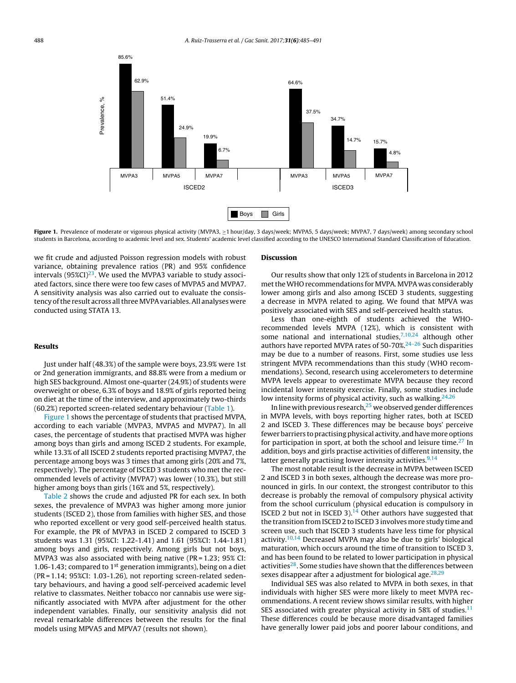

Figure 1. Prevalence of moderate or vigorous physical activity (MVPA3, ≥1 hour/day, 3 days/week; MVPA5, 5 days/week; MVPA7, 7 days/week) among secondary school students in Barcelona, according to academic level and sex. Students' academic level classified according to the UNESCO International Standard Classification of Education.

we fit crude and adjusted Poisson regression models with robust variance, obtaining prevalence ratios (PR) and 95% confidence intervals  $(95\% CI)^{23}$  $(95\% CI)^{23}$  $(95\% CI)^{23}$ . We used the MVPA3 variable to study associated factors, since there were too few cases of MVPA5 and MVPA7. A sensitivity analysis was also carried out to evaluate the consistency of the result across all three MVPA variables. All analyses were conducted using STATA 13.

### Results

Just under half (48.3%) of the sample were boys, 23.9% were 1st or 2nd generation immigrants, and 88.8% were from a medium or high SES background. Almost one-quarter (24.9%) of students were overweight or obese, 6.3% of boys and 18.9% of girls reported being on diet at the time of the interview, and approximately two-thirds (60.2%) reported screen-related sedentary behaviour ([Table](#page-2-0) 1).

Figure 1 shows the percentage of students that practised MVPA, according to each variable (MVPA3, MVPA5 and MVPA7). In all cases, the percentage of students that practised MVPA was higher among boys than girls and among ISCED 2 students. For example, while 13.3% of all ISCED 2 students reported practising MVPA7, the percentage among boys was 3 times that among girls (20% and 7%, respectively). The percentage of ISCED 3 students who met the recommended levels of activity (MVPA7) was lower (10.3%), but still higher among boys than girls (16% and 5%, respectively).

[Table](#page-4-0) 2 shows the crude and adjusted PR for each sex. In both sexes, the prevalence of MVPA3 was higher among more junior students (ISCED 2), those from families with higher SES, and those who reported excellent or very good self-perceived health status. For example, the PR of MVPA3 in ISCED 2 compared to ISCED 3 students was 1.31 (95%CI: 1.22-1.41) and 1.61 (95%CI: 1.44-1.81) among boys and girls, respectively. Among girls but not boys, MVPA3 was also associated with being native (PR = 1.23; 95% CI: 1.06-1.43; compared to 1<sup>st</sup> generation immigrants), being on a diet (PR = 1.14; 95%CI: 1.03-1.26), not reporting screen-related sedentary behaviours, and having a good self-perceived academic level relative to classmates. Neither tobacco nor cannabis use were significantly associated with MVPA after adjustment for the other independent variables. Finally, our sensitivity analysis did not reveal remarkable differences between the results for the final models using MPVA5 and MPVA7 (results not shown).

# Discussion

Our results show that only 12% of students in Barcelona in 2012 met the WHO recommendations for MVPA. MVPA was considerably lower among girls and also among ISCED 3 students, suggesting a decrease in MVPA related to aging. We found that MPVA was positively associated with SES and self-perceived health status.

Less than one-eighth of students achieved the WHOrecommended levels MVPA (12%), which is consistent with some national and international studies, $7,10,24$  although other authors have reported MVPA rates of 50-70%.<sup>24-26</sup> Such disparities may be due to a number of reasons. First, some studies use less stringent MVPA recommendations than this study (WHO recommendations). Second, research using accelerometers to determine MVPA levels appear to overestimate MVPA because they record incidental lower intensity exercise. Finally, some studies include low intensity forms of physical activity, such as walking.  $24,26$ 

In line with previous research, $25$  we observed gender differences in MVPA levels, with boys reporting higher rates, both at ISCED 2 and ISCED 3. These differences may be because boys' perceive fewer barriers to practising physical activity, and have more options for participation in sport, at both the school and leisure time.<sup>[27](#page-6-0)</sup> In addition, boys and girls practise activities of different intensity, the latter generally practising lower intensity activities. $9,14$ 

The most notable result is the decrease in MVPA between ISCED 2 and ISCED 3 in both sexes, although the decrease was more pronounced in girls. In our context, the strongest contributor to this decrease is probably the removal of compulsory physical activity from the school curriculum (physical education is compulsory in ISCED 2 but not in ISCED 3). $14$  Other authors have suggested that the transition from ISCED 2 to ISCED 3 involves more study time and screen use, such that ISCED 3 students have less time for physical activity.<sup>[10,14](#page-5-0)</sup> Decreased MVPA may also be due to girls' biological maturation, which occurs around the time of transition to ISCED 3, and has been found to be related to lower participation in physical activities<sup>[28](#page-6-0)</sup>. Some studies have shown that the differences between sexes disappear after a adjustment for biological age. $^{28,29}$  $^{28,29}$  $^{28,29}$ 

Individual SES was also related to MVPA in both sexes, in that individuals with higher SES were more likely to meet MVPA recommendations. A recent review shows similar results, with higher SES associated with greater physical activity in 58% of studies.<sup>[11](#page-5-0)</sup> These differences could be because more disadvantaged families have generally lower paid jobs and poorer labour conditions, and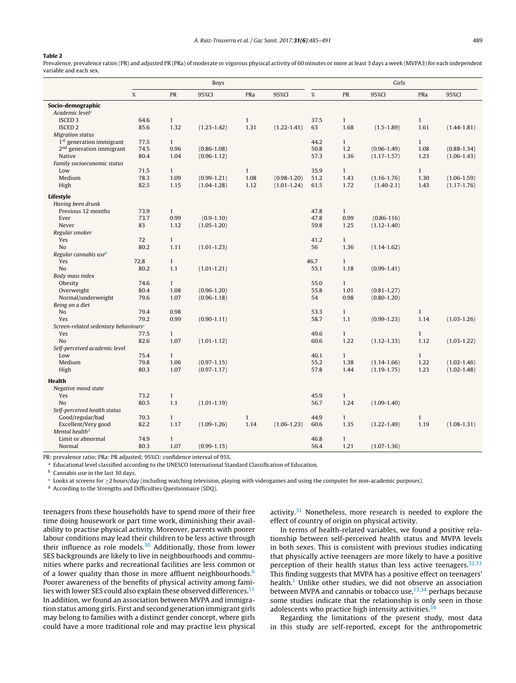### <span id="page-4-0"></span>Table 2

Prevalence, prevalence ratios (PR) and adjusted PR (PRa) of moderate or vigorous physical activity of 60 minutes or more at least 3 days a week (MVPA3) for each independent variable and each sex.

|                                                  | <b>Boys</b> |              |                 |              | Girls           |      |              |                 |              |                 |
|--------------------------------------------------|-------------|--------------|-----------------|--------------|-----------------|------|--------------|-----------------|--------------|-----------------|
|                                                  | %           | PR           | 95%CI           | PRa          | 95%CI           | $\%$ | PR           | 95%CI           | PRa          | 95%CI           |
| Socio-demographic                                |             |              |                 |              |                 |      |              |                 |              |                 |
| Academic level <sup>a</sup>                      |             |              |                 |              |                 |      |              |                 |              |                 |
| <b>ISCED 3</b>                                   | 64.6        | $\mathbf{1}$ |                 | $\mathbf{1}$ |                 | 37.5 | $\mathbf{1}$ |                 | $\mathbf{1}$ |                 |
| <b>ISCED 2</b>                                   | 85.6        | 1.32         | $(1.23 - 1.42)$ | 1.31         | $(1.22 - 1.41)$ | 63   | 1.68         | $(1.5 - 1.89)$  | 1.61         | $(1.44 - 1.81)$ |
| <b>Migration status</b>                          |             |              |                 |              |                 |      |              |                 |              |                 |
| $1st$ generation immigrant                       | 77.5        | $\mathbf{1}$ |                 |              |                 | 44.2 | $\mathbf{1}$ |                 | $\mathbf{1}$ |                 |
| 2 <sup>nd</sup> generation immigrant             | 74.5        | 0.96         | $(0.86 - 1.08)$ |              |                 | 50.8 | 1.2          | $(0.96 - 1.49)$ | 1.08         | $(0.88 - 1.34)$ |
| Native                                           | 80.4        | 1.04         | $(0.96 - 1.12)$ |              |                 | 57.3 | 1.36         | $(1.17 - 1.57)$ | 1.23         | $(1.06 - 1.43)$ |
| Family socioeconomic status                      |             |              |                 |              |                 |      |              |                 |              |                 |
| Low                                              | 71.5        | $\mathbf{1}$ |                 | $\mathbf{1}$ |                 | 35.9 | $\mathbf{1}$ |                 | 1            |                 |
| Medium                                           | 78.3        | 1.09         | $(0.99 - 1.21)$ | 1.08         | $(0.98 - 1.20)$ | 51.2 | 1.43         | $(1.16 - 1.76)$ | 1.30         | $(1.06 - 1.59)$ |
| High                                             | 82.5        | 1.15         | $(1.04 - 1.28)$ | 1.12         | $(1.01 - 1.24)$ | 61.5 | 1.72         | $(1.40 - 2.1)$  | 1.43         | $(1.17 - 1.76)$ |
| Lifestyle                                        |             |              |                 |              |                 |      |              |                 |              |                 |
| Having been drunk                                |             |              |                 |              |                 |      |              |                 |              |                 |
| Previous 12 months                               | 73.9        | $\mathbf{1}$ |                 |              |                 | 47.8 | $\mathbf{1}$ |                 |              |                 |
| Ever                                             | 73.7        | 0.99         | $(0.9 - 1.10)$  |              |                 | 47.8 | 0.99         | $(0.86 - 116)$  |              |                 |
| Never                                            | 83          | 1.12         | $(1.05 - 1.20)$ |              |                 | 59.8 | 1.25         | $(1.12 - 1.40)$ |              |                 |
| Regular smoker                                   |             |              |                 |              |                 |      |              |                 |              |                 |
| Yes                                              | 72          | $\mathbf{1}$ |                 |              |                 | 41.2 | $\mathbf{1}$ |                 |              |                 |
| N <sub>o</sub>                                   | 80.2        | 1.11         | $(1.01 - 1.23)$ |              |                 | 56   | 1.36         | $(1.14 - 1.62)$ |              |                 |
| Regular cannabis use <sup>b</sup>                |             |              |                 |              |                 |      |              |                 |              |                 |
| Yes                                              | 72,8        | $\mathbf{1}$ |                 |              |                 | 46,7 | $\mathbf{1}$ |                 |              |                 |
|                                                  |             |              |                 |              |                 |      |              |                 |              |                 |
| No                                               | 80.2        | 1.1          | $(1.01 - 1.21)$ |              |                 | 55.1 | 1.18         | $(0.99 - 1.41)$ |              |                 |
| Body mass index                                  |             |              |                 |              |                 |      |              |                 |              |                 |
| Obesity                                          | 74.6        | $\mathbf{1}$ |                 |              |                 | 55.0 | $\mathbf{1}$ |                 |              |                 |
| Overweight                                       | 80.4        | 1.08         | $(0.96 - 1.20)$ |              |                 | 55.8 | 1.01         | $(0.81 - 1.27)$ |              |                 |
| Normal/underweight                               | 79.6        | 1.07         | $(0.96 - 1.18)$ |              |                 | 54   | 0.98         | $(0.80 - 1.20)$ |              |                 |
| Being on a diet                                  |             |              |                 |              |                 |      |              |                 |              |                 |
| No                                               | 79.4        | 0.98         |                 |              |                 | 53.3 | $\mathbf{1}$ |                 | $\mathbf{1}$ |                 |
| Yes                                              | 79.2        | 0.99         | $(0.90 - 1.11)$ |              |                 | 58.7 | 1.1          | $(0.99 - 1.23)$ | 1.14         | $(1.03 - 1.26)$ |
| Screen-related sedentary behaviours <sup>c</sup> |             |              |                 |              |                 |      |              |                 |              |                 |
| Yes                                              | 77.5        | $\mathbf{1}$ |                 |              |                 | 49.6 | $\mathbf{1}$ |                 | $\mathbf{1}$ |                 |
| N <sub>o</sub>                                   | 82.6        | 1.07         | $(1.01 - 1.12)$ |              |                 | 60.6 | 1.22         | $(1.12 - 1.33)$ | 1.12         | $(1.03 - 1.22)$ |
| Self-perceived academic level                    |             |              |                 |              |                 |      |              |                 |              |                 |
| Low                                              | 75.4        | $\mathbf{1}$ |                 |              |                 | 40.1 | $\mathbf{1}$ |                 | $\mathbf{1}$ |                 |
| Medium                                           | 79.8        | 1.06         | $(0.97 - 1.15)$ |              |                 | 55.2 | 1.38         | $(1.14 - 1.66)$ | 1.22         | $(1.02 - 1.46)$ |
| High                                             | 80.3        | 1.07         | $(0.97 - 1.17)$ |              |                 | 57.8 | 1.44         | $(1.19 - 1.75)$ | 1.23         | $(1.02 - 1.48)$ |
| Health                                           |             |              |                 |              |                 |      |              |                 |              |                 |
| Negative mood state                              |             |              |                 |              |                 |      |              |                 |              |                 |
| Yes                                              | 73.2        | $\mathbf{1}$ |                 |              |                 | 45.9 | $\mathbf{1}$ |                 |              |                 |
| No                                               | 80.5        | 1.1          | $(1.01 - 1.19)$ |              |                 | 56.7 | 1.24         | $(1.09-1.40)$   |              |                 |
| Self-perceived health status                     |             |              |                 |              |                 |      |              |                 |              |                 |
| Good/regular/bad                                 | 70.3        | $\mathbf{1}$ |                 | $\mathbf{1}$ |                 | 44.9 | $\mathbf{1}$ |                 | $\mathbf{1}$ |                 |
| Excellent/Very good                              | 82.2        | 1.17         | $(1.09 - 1.26)$ | 1.14         | $(1.06 - 1.23)$ | 60.6 | 1.35         | $(1.22 - 1.49)$ | 1.19         | $(1.08 - 1.31)$ |
| Mental health <sup>d</sup>                       |             |              |                 |              |                 |      |              |                 |              |                 |
| Limit or abnormal                                | 74.9        | $\mathbf{1}$ |                 |              |                 | 46.8 | $\mathbf{1}$ |                 |              |                 |
| Normal                                           | 80.3        | 1.07         | $(0.99 - 1.15)$ |              |                 | 56.4 | 1.21         | $(1.07 - 1.36)$ |              |                 |

PR: prevalence ratio; PRa: PR adjusted; 95%CI: confidence interval of 95%.

<sup>a</sup> Educational level classified according to the UNESCO International Standard Classification of Education.

<sup>b</sup> Cannabis use in the last 30 days.

<sup>c</sup> Looks at screens for ≥2 hours/day (including watching television, playing with videogames and using the computer for non-academic purposes).

<sup>d</sup> According to the Strengths and Difficulties Questionnaire (SDQ).

teenagers from these households have to spend more of their free time doing housework or part time work, diminishing their availability to practise physical activity. Moreover, parents with poorer labour conditions may lead their children to be less active through their influence as role models.[30](#page-6-0) Additionally, those from lower SES backgrounds are likely to live in neighbourhoods and communities where parks and recreational facilities are less common or of a lower quality than those in more affluent neighbourhoods. $6$ Poorer awareness of the benefits of physical activity among fami-lies with lower SES could also explain these observed differences.<sup>[11](#page-5-0)</sup> In addition, we found an association between MVPA and immigration status among girls. First and second generation immigrant girls may belong to families with a distinct gender concept, where girls could have a more traditional role and may practise less physical activity. $31$  Nonetheless, more research is needed to explore the effect of country of origin on physical activity.

In terms of health-related variables, we found a positive relationship between self-perceived health status and MVPA levels in both sexes. This is consistent with previous studies indicating that physically active teenagers are more likely to have a positive perception of their health status than less active teenagers. $32,33$ This finding suggests that MVPA has a positive effect on teenagers' health.<sup>[1](#page-5-0)</sup> Unlike other studies, we did not observe an association between MVPA and cannabis or tobacco use, $13,34$  perhaps because some studies indicate that the relationship is only seen in those adolescents who practice high intensity activities.<sup>[34](#page-6-0)</sup>

Regarding the limitations of the present study, most data in this study are self-reported, except for the anthropometric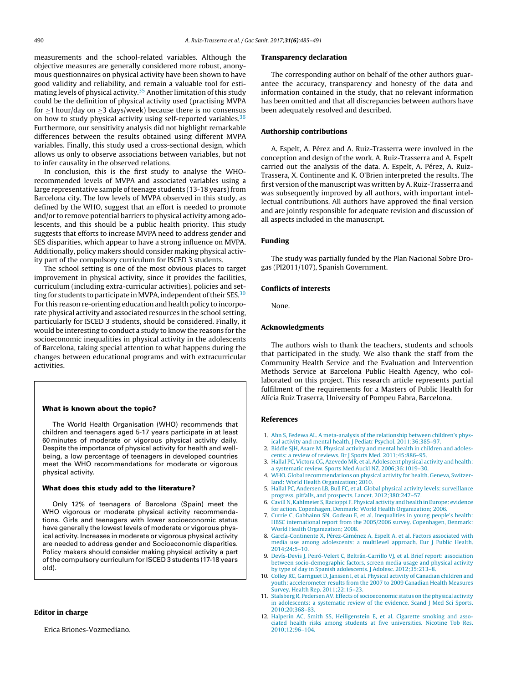<span id="page-5-0"></span>measurements and the school-related variables. Although the objective measures are generally considered more robust, anonymous questionnaires on physical activity have been shown to have good validity and reliability, and remain a valuable tool for esti-mating levels of physical activity.<sup>[35](#page-6-0)</sup> Another limitation of this study could be the definition of physical activity used (practising MVPA for  $\geq$ 1 hour/day on  $\geq$ 3 days/week) because there is no consensus on how to study physical activity using self-reported variables.  $36$ Furthermore, our sensitivity analysis did not highlight remarkable differences between the results obtained using different MVPA variables. Finally, this study used a cross-sectional design, which allows us only to observe associations between variables, but not to infer causality in the observed relations.

In conclusion, this is the first study to analyse the WHOrecommended levels of MVPA and associated variables using a large representative sample of teenage students (13-18 years) from Barcelona city. The low levels of MVPA observed in this study, as defined by the WHO, suggest that an effort is needed to promote and/or to remove potential barriers to physical activity among adolescents, and this should be a public health priority. This study suggests that efforts to increase MVPA need to address gender and SES disparities, which appear to have a strong influence on MVPA. Additionally, policy makers should consider making physical activity part of the compulsory curriculum for ISCED 3 students.

The school setting is one of the most obvious places to target improvement in physical activity, since it provides the facilities, curriculum (including extra-curricular activities), policies and setting for students to participate in MVPA, independent of their SES. $30$ For this reason re-orienting education and health policy to incorporate physical activity and associated resources in the school setting, particularly for ISCED 3 students, should be considered. Finally, it would be interesting to conduct a study to know the reasons for the socioeconomic inequalities in physical activity in the adolescents of Barcelona, taking special attention to what happens during the changes between educational programs and with extracurricular activities.

### What is known about the topic?

The World Health Organisation (WHO) recommends that children and teenagers aged 5-17 years participate in at least 60 minutes of moderate or vigorous physical activity daily. Despite the importance of physical activity for health and wellbeing, a low percentage of teenagers in developed countries meet the WHO recommendations for moderate or vigorous physical activity.

### What does this study add to the literature?

Only 12% of teenagers of Barcelona (Spain) meet the WHO vigorous or moderate physical activity recommendations. Girls and teenagers with lower socioeconomic status have generally the lowest levels of moderate or vigorous physical activity. Increases in moderate or vigorous physical activity are needed to address gender and Socioeconomic disparities. Policy makers should consider making physical activity a part of the compulsory curriculum for ISCED 3 students (17-18 years old).

# Editor in charge

Erica Briones-Vozmediano.

#### Transparency declaration

The corresponding author on behalf of the other authors guarantee the accuracy, transparency and honesty of the data and information contained in the study, that no relevant information has been omitted and that all discrepancies between authors have been adequately resolved and described.

### Authorship contributions

A. Espelt, A. Pérez and A. Ruiz-Trasserra were involved in the conception and design of the work. A. Ruiz-Trasserra and A. Espelt carried out the analysis of the data. A. Espelt, A. Pérez, A. Ruiz-Trassera, X. Continente and K. O'Brien interpreted the results. The first version of the manuscript was written by A. Ruiz-Trasserra and was subsequently improved by all authors, with important intellectual contributions. All authors have approved the final version and are jointly responsible for adequate revision and discussion of all aspects included in the manuscript.

### Funding

The study was partially funded by the Plan Nacional Sobre Drogas (PI2011/107), Spanish Government.

# Conflicts of interests

None.

#### Acknowledgments

The authors wish to thank the teachers, students and schools that participated in the study. We also thank the staff from the Community Health Service and the Evaluation and Intervention Methods Service at Barcelona Public Health Agency, who collaborated on this project. This research article represents partial fulfilment of the requirements for a Masters of Public Health for Alícia Ruiz Traserra, University of Pompeu Fabra, Barcelona.

# References

- 1. [Ahn](http://refhub.elsevier.com/S0213-9111(16)30255-2/sbref0185) [S,](http://refhub.elsevier.com/S0213-9111(16)30255-2/sbref0185) [Fedewa](http://refhub.elsevier.com/S0213-9111(16)30255-2/sbref0185) [AL.](http://refhub.elsevier.com/S0213-9111(16)30255-2/sbref0185) [A](http://refhub.elsevier.com/S0213-9111(16)30255-2/sbref0185) [meta-analysis](http://refhub.elsevier.com/S0213-9111(16)30255-2/sbref0185) [of](http://refhub.elsevier.com/S0213-9111(16)30255-2/sbref0185) [the](http://refhub.elsevier.com/S0213-9111(16)30255-2/sbref0185) [relationship](http://refhub.elsevier.com/S0213-9111(16)30255-2/sbref0185) [between](http://refhub.elsevier.com/S0213-9111(16)30255-2/sbref0185) [children's](http://refhub.elsevier.com/S0213-9111(16)30255-2/sbref0185) [phys](http://refhub.elsevier.com/S0213-9111(16)30255-2/sbref0185)[ical](http://refhub.elsevier.com/S0213-9111(16)30255-2/sbref0185) [activity](http://refhub.elsevier.com/S0213-9111(16)30255-2/sbref0185) [and](http://refhub.elsevier.com/S0213-9111(16)30255-2/sbref0185) [mental](http://refhub.elsevier.com/S0213-9111(16)30255-2/sbref0185) [health.](http://refhub.elsevier.com/S0213-9111(16)30255-2/sbref0185) [J](http://refhub.elsevier.com/S0213-9111(16)30255-2/sbref0185) [Pediatr](http://refhub.elsevier.com/S0213-9111(16)30255-2/sbref0185) [Psychol.](http://refhub.elsevier.com/S0213-9111(16)30255-2/sbref0185) [2011;36:385](http://refhub.elsevier.com/S0213-9111(16)30255-2/sbref0185)–[97.](http://refhub.elsevier.com/S0213-9111(16)30255-2/sbref0185)
- 2. [Biddle](http://refhub.elsevier.com/S0213-9111(16)30255-2/sbref0190) [SJH,](http://refhub.elsevier.com/S0213-9111(16)30255-2/sbref0190) [Asare](http://refhub.elsevier.com/S0213-9111(16)30255-2/sbref0190) [M.](http://refhub.elsevier.com/S0213-9111(16)30255-2/sbref0190) [Physical](http://refhub.elsevier.com/S0213-9111(16)30255-2/sbref0190) [activity](http://refhub.elsevier.com/S0213-9111(16)30255-2/sbref0190) [and](http://refhub.elsevier.com/S0213-9111(16)30255-2/sbref0190) [mental](http://refhub.elsevier.com/S0213-9111(16)30255-2/sbref0190) [health](http://refhub.elsevier.com/S0213-9111(16)30255-2/sbref0190) [in](http://refhub.elsevier.com/S0213-9111(16)30255-2/sbref0190) [children](http://refhub.elsevier.com/S0213-9111(16)30255-2/sbref0190) [and](http://refhub.elsevier.com/S0213-9111(16)30255-2/sbref0190) [adoles](http://refhub.elsevier.com/S0213-9111(16)30255-2/sbref0190)[cents:](http://refhub.elsevier.com/S0213-9111(16)30255-2/sbref0190) [a](http://refhub.elsevier.com/S0213-9111(16)30255-2/sbref0190) [review](http://refhub.elsevier.com/S0213-9111(16)30255-2/sbref0190) [of](http://refhub.elsevier.com/S0213-9111(16)30255-2/sbref0190) [reviews.](http://refhub.elsevier.com/S0213-9111(16)30255-2/sbref0190) [Br](http://refhub.elsevier.com/S0213-9111(16)30255-2/sbref0190) [J](http://refhub.elsevier.com/S0213-9111(16)30255-2/sbref0190) [Sports](http://refhub.elsevier.com/S0213-9111(16)30255-2/sbref0190) [Med.](http://refhub.elsevier.com/S0213-9111(16)30255-2/sbref0190) [2011;45:886–95.](http://refhub.elsevier.com/S0213-9111(16)30255-2/sbref0190)
- 3. [Hallal](http://refhub.elsevier.com/S0213-9111(16)30255-2/sbref0195) [PC,](http://refhub.elsevier.com/S0213-9111(16)30255-2/sbref0195) [Victora](http://refhub.elsevier.com/S0213-9111(16)30255-2/sbref0195) [CG,](http://refhub.elsevier.com/S0213-9111(16)30255-2/sbref0195) [Azevedo](http://refhub.elsevier.com/S0213-9111(16)30255-2/sbref0195) [MR,](http://refhub.elsevier.com/S0213-9111(16)30255-2/sbref0195) [et](http://refhub.elsevier.com/S0213-9111(16)30255-2/sbref0195) [al.](http://refhub.elsevier.com/S0213-9111(16)30255-2/sbref0195) [Adolescent](http://refhub.elsevier.com/S0213-9111(16)30255-2/sbref0195) [physical](http://refhub.elsevier.com/S0213-9111(16)30255-2/sbref0195) [activity](http://refhub.elsevier.com/S0213-9111(16)30255-2/sbref0195) [and](http://refhub.elsevier.com/S0213-9111(16)30255-2/sbref0195) [health:](http://refhub.elsevier.com/S0213-9111(16)30255-2/sbref0195) [a](http://refhub.elsevier.com/S0213-9111(16)30255-2/sbref0195) [systematic](http://refhub.elsevier.com/S0213-9111(16)30255-2/sbref0195) [review.](http://refhub.elsevier.com/S0213-9111(16)30255-2/sbref0195) [Sports](http://refhub.elsevier.com/S0213-9111(16)30255-2/sbref0195) [Med](http://refhub.elsevier.com/S0213-9111(16)30255-2/sbref0195) [Auckl](http://refhub.elsevier.com/S0213-9111(16)30255-2/sbref0195) [NZ.](http://refhub.elsevier.com/S0213-9111(16)30255-2/sbref0195) [2006;36:1019](http://refhub.elsevier.com/S0213-9111(16)30255-2/sbref0195)–[30.](http://refhub.elsevier.com/S0213-9111(16)30255-2/sbref0195)
- 4. [WHO.](http://refhub.elsevier.com/S0213-9111(16)30255-2/sbref0200) [Global](http://refhub.elsevier.com/S0213-9111(16)30255-2/sbref0200) [recommendations](http://refhub.elsevier.com/S0213-9111(16)30255-2/sbref0200) [on](http://refhub.elsevier.com/S0213-9111(16)30255-2/sbref0200) [physical](http://refhub.elsevier.com/S0213-9111(16)30255-2/sbref0200) [activity](http://refhub.elsevier.com/S0213-9111(16)30255-2/sbref0200) [for](http://refhub.elsevier.com/S0213-9111(16)30255-2/sbref0200) [health.](http://refhub.elsevier.com/S0213-9111(16)30255-2/sbref0200) [Geneva,](http://refhub.elsevier.com/S0213-9111(16)30255-2/sbref0200) [Switzer](http://refhub.elsevier.com/S0213-9111(16)30255-2/sbref0200)[land:](http://refhub.elsevier.com/S0213-9111(16)30255-2/sbref0200) [World](http://refhub.elsevier.com/S0213-9111(16)30255-2/sbref0200) [Health](http://refhub.elsevier.com/S0213-9111(16)30255-2/sbref0200) [Organization;](http://refhub.elsevier.com/S0213-9111(16)30255-2/sbref0200) [2010.](http://refhub.elsevier.com/S0213-9111(16)30255-2/sbref0200)
- 5. [Hallal](http://refhub.elsevier.com/S0213-9111(16)30255-2/sbref0205) [PC,](http://refhub.elsevier.com/S0213-9111(16)30255-2/sbref0205) [Andersen](http://refhub.elsevier.com/S0213-9111(16)30255-2/sbref0205) [LB,](http://refhub.elsevier.com/S0213-9111(16)30255-2/sbref0205) [Bull](http://refhub.elsevier.com/S0213-9111(16)30255-2/sbref0205) [FC,](http://refhub.elsevier.com/S0213-9111(16)30255-2/sbref0205) [et](http://refhub.elsevier.com/S0213-9111(16)30255-2/sbref0205) [al.](http://refhub.elsevier.com/S0213-9111(16)30255-2/sbref0205) [Global](http://refhub.elsevier.com/S0213-9111(16)30255-2/sbref0205) [physical](http://refhub.elsevier.com/S0213-9111(16)30255-2/sbref0205) [activity](http://refhub.elsevier.com/S0213-9111(16)30255-2/sbref0205) [levels:](http://refhub.elsevier.com/S0213-9111(16)30255-2/sbref0205) [surveillance](http://refhub.elsevier.com/S0213-9111(16)30255-2/sbref0205) [progress,](http://refhub.elsevier.com/S0213-9111(16)30255-2/sbref0205) [pitfalls,](http://refhub.elsevier.com/S0213-9111(16)30255-2/sbref0205) [and](http://refhub.elsevier.com/S0213-9111(16)30255-2/sbref0205) [prospects.](http://refhub.elsevier.com/S0213-9111(16)30255-2/sbref0205) [Lancet.](http://refhub.elsevier.com/S0213-9111(16)30255-2/sbref0205) [2012;380:247–57.](http://refhub.elsevier.com/S0213-9111(16)30255-2/sbref0205)
- 6. [Cavill](http://refhub.elsevier.com/S0213-9111(16)30255-2/sbref0210) [N,Kahlmeier](http://refhub.elsevier.com/S0213-9111(16)30255-2/sbref0210) [S,](http://refhub.elsevier.com/S0213-9111(16)30255-2/sbref0210) [Racioppi](http://refhub.elsevier.com/S0213-9111(16)30255-2/sbref0210) [F.](http://refhub.elsevier.com/S0213-9111(16)30255-2/sbref0210) [Physical](http://refhub.elsevier.com/S0213-9111(16)30255-2/sbref0210) [activity](http://refhub.elsevier.com/S0213-9111(16)30255-2/sbref0210) [and](http://refhub.elsevier.com/S0213-9111(16)30255-2/sbref0210) [health](http://refhub.elsevier.com/S0213-9111(16)30255-2/sbref0210) [in](http://refhub.elsevier.com/S0213-9111(16)30255-2/sbref0210) [Europe:](http://refhub.elsevier.com/S0213-9111(16)30255-2/sbref0210) [evidence](http://refhub.elsevier.com/S0213-9111(16)30255-2/sbref0210) [for](http://refhub.elsevier.com/S0213-9111(16)30255-2/sbref0210) [action.](http://refhub.elsevier.com/S0213-9111(16)30255-2/sbref0210) [Copenhagen,](http://refhub.elsevier.com/S0213-9111(16)30255-2/sbref0210) [Denmark:](http://refhub.elsevier.com/S0213-9111(16)30255-2/sbref0210) [World](http://refhub.elsevier.com/S0213-9111(16)30255-2/sbref0210) [Health](http://refhub.elsevier.com/S0213-9111(16)30255-2/sbref0210) [Organization;](http://refhub.elsevier.com/S0213-9111(16)30255-2/sbref0210) [2006.](http://refhub.elsevier.com/S0213-9111(16)30255-2/sbref0210)
- 7. [Currie](http://refhub.elsevier.com/S0213-9111(16)30255-2/sbref0215) [C,](http://refhub.elsevier.com/S0213-9111(16)30255-2/sbref0215) [Gabhainn](http://refhub.elsevier.com/S0213-9111(16)30255-2/sbref0215) [SN,](http://refhub.elsevier.com/S0213-9111(16)30255-2/sbref0215) [Godeau](http://refhub.elsevier.com/S0213-9111(16)30255-2/sbref0215) [E,](http://refhub.elsevier.com/S0213-9111(16)30255-2/sbref0215) [et](http://refhub.elsevier.com/S0213-9111(16)30255-2/sbref0215) [al.](http://refhub.elsevier.com/S0213-9111(16)30255-2/sbref0215) [Inequalities](http://refhub.elsevier.com/S0213-9111(16)30255-2/sbref0215) [in](http://refhub.elsevier.com/S0213-9111(16)30255-2/sbref0215) [young](http://refhub.elsevier.com/S0213-9111(16)30255-2/sbref0215) [people's](http://refhub.elsevier.com/S0213-9111(16)30255-2/sbref0215) [health:](http://refhub.elsevier.com/S0213-9111(16)30255-2/sbref0215) [HBSC](http://refhub.elsevier.com/S0213-9111(16)30255-2/sbref0215) [international](http://refhub.elsevier.com/S0213-9111(16)30255-2/sbref0215) [report](http://refhub.elsevier.com/S0213-9111(16)30255-2/sbref0215) [from](http://refhub.elsevier.com/S0213-9111(16)30255-2/sbref0215) [the](http://refhub.elsevier.com/S0213-9111(16)30255-2/sbref0215) [2005/2006](http://refhub.elsevier.com/S0213-9111(16)30255-2/sbref0215) [survey.](http://refhub.elsevier.com/S0213-9111(16)30255-2/sbref0215) [Copenhagen,](http://refhub.elsevier.com/S0213-9111(16)30255-2/sbref0215) [Denmark:](http://refhub.elsevier.com/S0213-9111(16)30255-2/sbref0215) [World](http://refhub.elsevier.com/S0213-9111(16)30255-2/sbref0215) [Health](http://refhub.elsevier.com/S0213-9111(16)30255-2/sbref0215) [Organization;](http://refhub.elsevier.com/S0213-9111(16)30255-2/sbref0215) [2008.](http://refhub.elsevier.com/S0213-9111(16)30255-2/sbref0215)
- 8. [García-Continente](http://refhub.elsevier.com/S0213-9111(16)30255-2/sbref0220) [X,](http://refhub.elsevier.com/S0213-9111(16)30255-2/sbref0220) [Pérez-Giménez](http://refhub.elsevier.com/S0213-9111(16)30255-2/sbref0220) [A,](http://refhub.elsevier.com/S0213-9111(16)30255-2/sbref0220) [Espelt](http://refhub.elsevier.com/S0213-9111(16)30255-2/sbref0220) [A,](http://refhub.elsevier.com/S0213-9111(16)30255-2/sbref0220) [et](http://refhub.elsevier.com/S0213-9111(16)30255-2/sbref0220) [al.](http://refhub.elsevier.com/S0213-9111(16)30255-2/sbref0220) [Factors](http://refhub.elsevier.com/S0213-9111(16)30255-2/sbref0220) [associated](http://refhub.elsevier.com/S0213-9111(16)30255-2/sbref0220) [with](http://refhub.elsevier.com/S0213-9111(16)30255-2/sbref0220) [media](http://refhub.elsevier.com/S0213-9111(16)30255-2/sbref0220) [use](http://refhub.elsevier.com/S0213-9111(16)30255-2/sbref0220) [among](http://refhub.elsevier.com/S0213-9111(16)30255-2/sbref0220) [adolescents:](http://refhub.elsevier.com/S0213-9111(16)30255-2/sbref0220) [a](http://refhub.elsevier.com/S0213-9111(16)30255-2/sbref0220) [multilevel](http://refhub.elsevier.com/S0213-9111(16)30255-2/sbref0220) [approach.](http://refhub.elsevier.com/S0213-9111(16)30255-2/sbref0220) [Eur](http://refhub.elsevier.com/S0213-9111(16)30255-2/sbref0220) [J](http://refhub.elsevier.com/S0213-9111(16)30255-2/sbref0220) [Public](http://refhub.elsevier.com/S0213-9111(16)30255-2/sbref0220) [Health.](http://refhub.elsevier.com/S0213-9111(16)30255-2/sbref0220) [2014;24:5–10.](http://refhub.elsevier.com/S0213-9111(16)30255-2/sbref0220)
- 9. [Devís-Devís](http://refhub.elsevier.com/S0213-9111(16)30255-2/sbref0225) [J,](http://refhub.elsevier.com/S0213-9111(16)30255-2/sbref0225) [Peiró-Velert](http://refhub.elsevier.com/S0213-9111(16)30255-2/sbref0225) [C,](http://refhub.elsevier.com/S0213-9111(16)30255-2/sbref0225) [Beltrán-Carrillo](http://refhub.elsevier.com/S0213-9111(16)30255-2/sbref0225) [VJ,](http://refhub.elsevier.com/S0213-9111(16)30255-2/sbref0225) [et](http://refhub.elsevier.com/S0213-9111(16)30255-2/sbref0225) [al.](http://refhub.elsevier.com/S0213-9111(16)30255-2/sbref0225) [Brief](http://refhub.elsevier.com/S0213-9111(16)30255-2/sbref0225) [report:](http://refhub.elsevier.com/S0213-9111(16)30255-2/sbref0225) [association](http://refhub.elsevier.com/S0213-9111(16)30255-2/sbref0225) [between](http://refhub.elsevier.com/S0213-9111(16)30255-2/sbref0225) [socio-demographic](http://refhub.elsevier.com/S0213-9111(16)30255-2/sbref0225) [factors,](http://refhub.elsevier.com/S0213-9111(16)30255-2/sbref0225) [screen](http://refhub.elsevier.com/S0213-9111(16)30255-2/sbref0225) [media](http://refhub.elsevier.com/S0213-9111(16)30255-2/sbref0225) [usage](http://refhub.elsevier.com/S0213-9111(16)30255-2/sbref0225) [and](http://refhub.elsevier.com/S0213-9111(16)30255-2/sbref0225) [physical](http://refhub.elsevier.com/S0213-9111(16)30255-2/sbref0225) [activity](http://refhub.elsevier.com/S0213-9111(16)30255-2/sbref0225) [by](http://refhub.elsevier.com/S0213-9111(16)30255-2/sbref0225) [type](http://refhub.elsevier.com/S0213-9111(16)30255-2/sbref0225) [of](http://refhub.elsevier.com/S0213-9111(16)30255-2/sbref0225) [day](http://refhub.elsevier.com/S0213-9111(16)30255-2/sbref0225) [in](http://refhub.elsevier.com/S0213-9111(16)30255-2/sbref0225) [Spanish](http://refhub.elsevier.com/S0213-9111(16)30255-2/sbref0225) [adolescents.](http://refhub.elsevier.com/S0213-9111(16)30255-2/sbref0225) [J](http://refhub.elsevier.com/S0213-9111(16)30255-2/sbref0225) [Adolesc.](http://refhub.elsevier.com/S0213-9111(16)30255-2/sbref0225) [2012;35:213–8.](http://refhub.elsevier.com/S0213-9111(16)30255-2/sbref0225)
- 10. [Colley](http://refhub.elsevier.com/S0213-9111(16)30255-2/sbref0230) [RC,](http://refhub.elsevier.com/S0213-9111(16)30255-2/sbref0230) [Garriguet](http://refhub.elsevier.com/S0213-9111(16)30255-2/sbref0230) [D,](http://refhub.elsevier.com/S0213-9111(16)30255-2/sbref0230) [Janssen](http://refhub.elsevier.com/S0213-9111(16)30255-2/sbref0230) [I,](http://refhub.elsevier.com/S0213-9111(16)30255-2/sbref0230) [et](http://refhub.elsevier.com/S0213-9111(16)30255-2/sbref0230) [al.](http://refhub.elsevier.com/S0213-9111(16)30255-2/sbref0230) [Physical](http://refhub.elsevier.com/S0213-9111(16)30255-2/sbref0230) [activity](http://refhub.elsevier.com/S0213-9111(16)30255-2/sbref0230) [of](http://refhub.elsevier.com/S0213-9111(16)30255-2/sbref0230) [Canadian](http://refhub.elsevier.com/S0213-9111(16)30255-2/sbref0230) [children](http://refhub.elsevier.com/S0213-9111(16)30255-2/sbref0230) [and](http://refhub.elsevier.com/S0213-9111(16)30255-2/sbref0230) [youth:](http://refhub.elsevier.com/S0213-9111(16)30255-2/sbref0230) [accelerometer](http://refhub.elsevier.com/S0213-9111(16)30255-2/sbref0230) [results](http://refhub.elsevier.com/S0213-9111(16)30255-2/sbref0230) [from](http://refhub.elsevier.com/S0213-9111(16)30255-2/sbref0230) [the](http://refhub.elsevier.com/S0213-9111(16)30255-2/sbref0230) [2007](http://refhub.elsevier.com/S0213-9111(16)30255-2/sbref0230) [to](http://refhub.elsevier.com/S0213-9111(16)30255-2/sbref0230) [2009](http://refhub.elsevier.com/S0213-9111(16)30255-2/sbref0230) [Canadian](http://refhub.elsevier.com/S0213-9111(16)30255-2/sbref0230) [Health](http://refhub.elsevier.com/S0213-9111(16)30255-2/sbref0230) [Measures](http://refhub.elsevier.com/S0213-9111(16)30255-2/sbref0230) [Survey.](http://refhub.elsevier.com/S0213-9111(16)30255-2/sbref0230) [Health](http://refhub.elsevier.com/S0213-9111(16)30255-2/sbref0230) [Rep.](http://refhub.elsevier.com/S0213-9111(16)30255-2/sbref0230) [2011;22:15](http://refhub.elsevier.com/S0213-9111(16)30255-2/sbref0230)–[23.](http://refhub.elsevier.com/S0213-9111(16)30255-2/sbref0230)
- 11. [Stalsberg](http://refhub.elsevier.com/S0213-9111(16)30255-2/sbref0235) [R,](http://refhub.elsevier.com/S0213-9111(16)30255-2/sbref0235) [Pedersen](http://refhub.elsevier.com/S0213-9111(16)30255-2/sbref0235) [AV.](http://refhub.elsevier.com/S0213-9111(16)30255-2/sbref0235) [Effects](http://refhub.elsevier.com/S0213-9111(16)30255-2/sbref0235) [of](http://refhub.elsevier.com/S0213-9111(16)30255-2/sbref0235) [socioeconomic](http://refhub.elsevier.com/S0213-9111(16)30255-2/sbref0235) [status](http://refhub.elsevier.com/S0213-9111(16)30255-2/sbref0235) [on](http://refhub.elsevier.com/S0213-9111(16)30255-2/sbref0235) [the](http://refhub.elsevier.com/S0213-9111(16)30255-2/sbref0235) [physical](http://refhub.elsevier.com/S0213-9111(16)30255-2/sbref0235) [activity](http://refhub.elsevier.com/S0213-9111(16)30255-2/sbref0235) [in](http://refhub.elsevier.com/S0213-9111(16)30255-2/sbref0235) [adolescents:](http://refhub.elsevier.com/S0213-9111(16)30255-2/sbref0235) [a](http://refhub.elsevier.com/S0213-9111(16)30255-2/sbref0235) [systematic](http://refhub.elsevier.com/S0213-9111(16)30255-2/sbref0235) [review](http://refhub.elsevier.com/S0213-9111(16)30255-2/sbref0235) [of](http://refhub.elsevier.com/S0213-9111(16)30255-2/sbref0235) [the](http://refhub.elsevier.com/S0213-9111(16)30255-2/sbref0235) [evidence.](http://refhub.elsevier.com/S0213-9111(16)30255-2/sbref0235) [Scand](http://refhub.elsevier.com/S0213-9111(16)30255-2/sbref0235) [J](http://refhub.elsevier.com/S0213-9111(16)30255-2/sbref0235) [Med](http://refhub.elsevier.com/S0213-9111(16)30255-2/sbref0235) [Sci](http://refhub.elsevier.com/S0213-9111(16)30255-2/sbref0235) [Sports.](http://refhub.elsevier.com/S0213-9111(16)30255-2/sbref0235) [2010;20:368](http://refhub.elsevier.com/S0213-9111(16)30255-2/sbref0235)–[83.](http://refhub.elsevier.com/S0213-9111(16)30255-2/sbref0235)
- 12. [Halperin](http://refhub.elsevier.com/S0213-9111(16)30255-2/sbref0240) [AC,](http://refhub.elsevier.com/S0213-9111(16)30255-2/sbref0240) [Smith](http://refhub.elsevier.com/S0213-9111(16)30255-2/sbref0240) [SS,](http://refhub.elsevier.com/S0213-9111(16)30255-2/sbref0240) [Heiligenstein](http://refhub.elsevier.com/S0213-9111(16)30255-2/sbref0240) [E,](http://refhub.elsevier.com/S0213-9111(16)30255-2/sbref0240) [et](http://refhub.elsevier.com/S0213-9111(16)30255-2/sbref0240) [al.](http://refhub.elsevier.com/S0213-9111(16)30255-2/sbref0240) [Cigarette](http://refhub.elsevier.com/S0213-9111(16)30255-2/sbref0240) [smoking](http://refhub.elsevier.com/S0213-9111(16)30255-2/sbref0240) [and](http://refhub.elsevier.com/S0213-9111(16)30255-2/sbref0240) [asso](http://refhub.elsevier.com/S0213-9111(16)30255-2/sbref0240)[ciated](http://refhub.elsevier.com/S0213-9111(16)30255-2/sbref0240) [health](http://refhub.elsevier.com/S0213-9111(16)30255-2/sbref0240) [risks](http://refhub.elsevier.com/S0213-9111(16)30255-2/sbref0240) [among](http://refhub.elsevier.com/S0213-9111(16)30255-2/sbref0240) [students](http://refhub.elsevier.com/S0213-9111(16)30255-2/sbref0240) [at](http://refhub.elsevier.com/S0213-9111(16)30255-2/sbref0240) [five](http://refhub.elsevier.com/S0213-9111(16)30255-2/sbref0240) [universities.](http://refhub.elsevier.com/S0213-9111(16)30255-2/sbref0240) [Nicotine](http://refhub.elsevier.com/S0213-9111(16)30255-2/sbref0240) [Tob](http://refhub.elsevier.com/S0213-9111(16)30255-2/sbref0240) [Res.](http://refhub.elsevier.com/S0213-9111(16)30255-2/sbref0240) [2010;12:96–104.](http://refhub.elsevier.com/S0213-9111(16)30255-2/sbref0240)